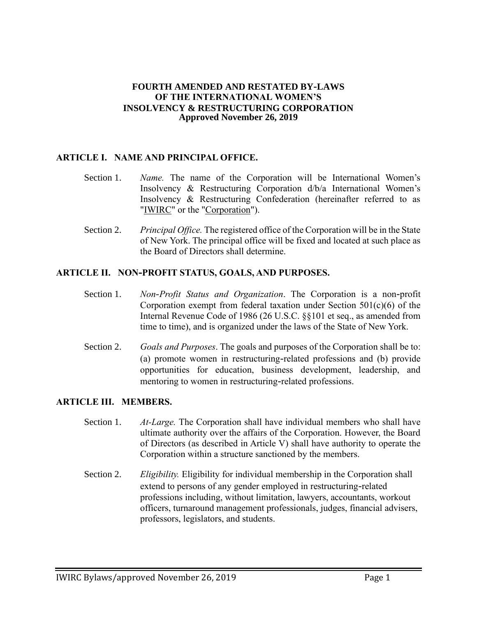#### **FOURTH AMENDED AND RESTATED BY-LAWS OF THE INTERNATIONAL WOMEN'S INSOLVENCY & RESTRUCTURING CORPORATION Approved November 26, 2019**

### **ARTICLE I. NAME AND PRINCIPAL OFFICE.**

- Section 1. *Name.* The name of the Corporation will be International Women's Insolvency & Restructuring Corporation d/b/a International Women's Insolvency & Restructuring Confederation (hereinafter referred to as "IWIRC" or the "Corporation").
- Section 2. *Principal Office.* The registered office of the Corporation will be in the State of New York. The principal office will be fixed and located at such place as the Board of Directors shall determine.

#### **ARTICLE II. NON-PROFIT STATUS, GOALS, AND PURPOSES.**

- Section 1. *NonProfit Status and Organization*. The Corporation is a non-profit Corporation exempt from federal taxation under Section  $501(c)(6)$  of the Internal Revenue Code of 1986 (26 U.S.C. §§101 et seq., as amended from time to time), and is organized under the laws of the State of New York.
- Section 2. *Goals and Purposes*. The goals and purposes of the Corporation shall be to: (a) promote women in restructuring-related professions and (b) provide opportunities for education, business development, leadership, and mentoring to women in restructuring-related professions.

#### **ARTICLE III. MEMBERS.**

- Section 1. *AtLarge.* The Corporation shall have individual members who shall have ultimate authority over the affairs of the Corporation. However, the Board of Directors (as described in Article V) shall have authority to operate the Corporation within a structure sanctioned by the members.
- Section 2. *Eligibility.* Eligibility for individual membership in the Corporation shall extend to persons of any gender employed in restructuring-related professions including, without limitation, lawyers, accountants, workout officers, turnaround management professionals, judges, financial advisers, professors, legislators, and students.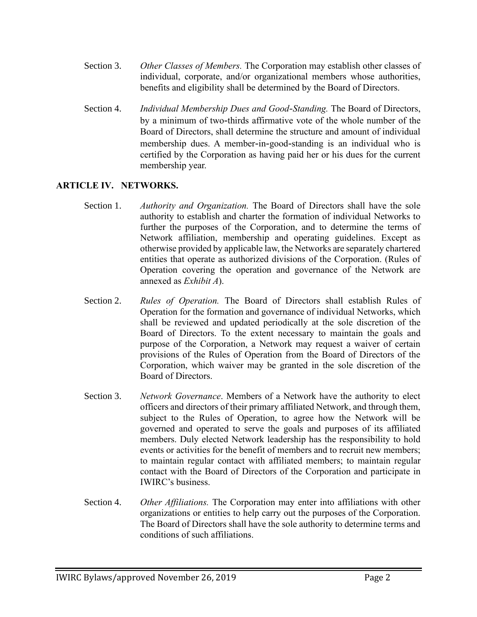- Section 3. *Other Classes of Members.* The Corporation may establish other classes of individual, corporate, and/or organizational members whose authorities, benefits and eligibility shall be determined by the Board of Directors.
- Section 4. *Individual Membership Dues and GoodStanding.* The Board of Directors, by a minimum of two-thirds affirmative vote of the whole number of the Board of Directors, shall determine the structure and amount of individual membership dues. A member-in-good-standing is an individual who is certified by the Corporation as having paid her or his dues for the current membership year.

### **ARTICLE IV. NETWORKS.**

- Section 1. *Authority and Organization.* The Board of Directors shall have the sole authority to establish and charter the formation of individual Networks to further the purposes of the Corporation, and to determine the terms of Network affiliation, membership and operating guidelines. Except as otherwise provided by applicable law, the Networks are separately chartered entities that operate as authorized divisions of the Corporation. (Rules of Operation covering the operation and governance of the Network are annexed as *Exhibit A*).
- Section 2. *Rules of Operation.* The Board of Directors shall establish Rules of Operation for the formation and governance of individual Networks, which shall be reviewed and updated periodically at the sole discretion of the Board of Directors. To the extent necessary to maintain the goals and purpose of the Corporation, a Network may request a waiver of certain provisions of the Rules of Operation from the Board of Directors of the Corporation, which waiver may be granted in the sole discretion of the Board of Directors.
- Section 3. *Network Governance*. Members of a Network have the authority to elect officers and directors of their primary affiliated Network, and through them, subject to the Rules of Operation, to agree how the Network will be governed and operated to serve the goals and purposes of its affiliated members. Duly elected Network leadership has the responsibility to hold events or activities for the benefit of members and to recruit new members; to maintain regular contact with affiliated members; to maintain regular contact with the Board of Directors of the Corporation and participate in IWIRC's business.
- Section 4. *Other Affiliations.* The Corporation may enter into affiliations with other organizations or entities to help carry out the purposes of the Corporation. The Board of Directors shall have the sole authority to determine terms and conditions of such affiliations.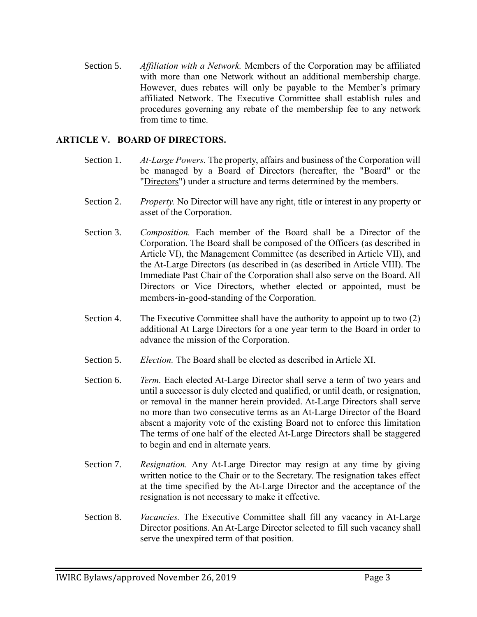Section 5. *Affiliation with a Network.* Members of the Corporation may be affiliated with more than one Network without an additional membership charge. However, dues rebates will only be payable to the Member's primary affiliated Network. The Executive Committee shall establish rules and procedures governing any rebate of the membership fee to any network from time to time.

### **ARTICLE V. BOARD OF DIRECTORS.**

- Section 1. *AtLarge Powers.* The property, affairs and business of the Corporation will be managed by a Board of Directors (hereafter, the "Board" or the "Directors") under a structure and terms determined by the members.
- Section 2. *Property.* No Director will have any right, title or interest in any property or asset of the Corporation.
- Section 3. *Composition.* Each member of the Board shall be a Director of the Corporation. The Board shall be composed of the Officers (as described in Article VI), the Management Committee (as described in Article VII), and the At-Large Directors (as described in (as described in Article VIII). The Immediate Past Chair of the Corporation shall also serve on the Board. All Directors or Vice Directors, whether elected or appointed, must be members-in-good-standing of the Corporation.
- Section 4. The Executive Committee shall have the authority to appoint up to two (2) additional At Large Directors for a one year term to the Board in order to advance the mission of the Corporation.
- Section 5. *Election.* The Board shall be elected as described in Article XI.
- Section 6. *Term.* Each elected At-Large Director shall serve a term of two years and until a successor is duly elected and qualified, or until death, or resignation, or removal in the manner herein provided. At-Large Directors shall serve no more than two consecutive terms as an At-Large Director of the Board absent a majority vote of the existing Board not to enforce this limitation The terms of one half of the elected At-Large Directors shall be staggered to begin and end in alternate years.
- Section 7. *Resignation.* Any At-Large Director may resign at any time by giving written notice to the Chair or to the Secretary. The resignation takes effect at the time specified by the At-Large Director and the acceptance of the resignation is not necessary to make it effective.
- Section 8. *Vacancies.* The Executive Committee shall fill any vacancy in At-Large Director positions. An At-Large Director selected to fill such vacancy shall serve the unexpired term of that position.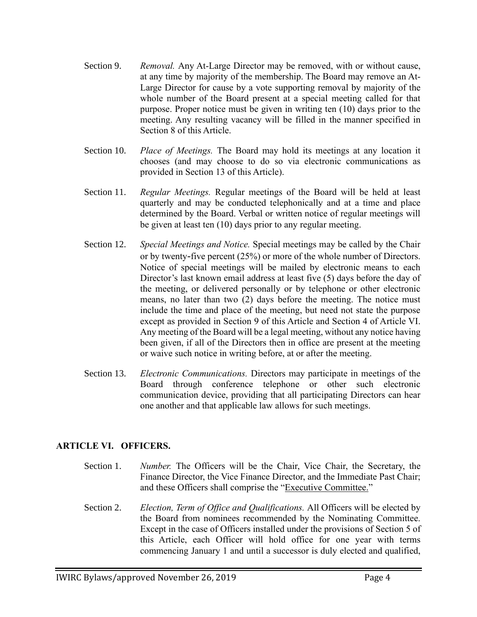- Section 9. *Removal.* Any At-Large Director may be removed, with or without cause, at any time by majority of the membership. The Board may remove an At-Large Director for cause by a vote supporting removal by majority of the whole number of the Board present at a special meeting called for that purpose. Proper notice must be given in writing ten (10) days prior to the meeting. Any resulting vacancy will be filled in the manner specified in Section 8 of this Article.
- Section 10. *Place of Meetings.* The Board may hold its meetings at any location it chooses (and may choose to do so via electronic communications as provided in Section 13 of this Article).
- Section 11. *Regular Meetings.* Regular meetings of the Board will be held at least quarterly and may be conducted telephonically and at a time and place determined by the Board. Verbal or written notice of regular meetings will be given at least ten (10) days prior to any regular meeting.
- Section 12. *Special Meetings and Notice.* Special meetings may be called by the Chair or by twenty-five percent (25%) or more of the whole number of Directors. Notice of special meetings will be mailed by electronic means to each Director's last known email address at least five (5) days before the day of the meeting, or delivered personally or by telephone or other electronic means, no later than two (2) days before the meeting. The notice must include the time and place of the meeting, but need not state the purpose except as provided in Section 9 of this Article and Section 4 of Article VI. Any meeting of the Board will be a legal meeting, without any notice having been given, if all of the Directors then in office are present at the meeting or waive such notice in writing before, at or after the meeting.
- Section 13. *Electronic Communications.* Directors may participate in meetings of the Board through conference telephone or other such electronic communication device, providing that all participating Directors can hear one another and that applicable law allows for such meetings.

# **ARTICLE VI. OFFICERS.**

- Section 1. *Number.* The Officers will be the Chair, Vice Chair, the Secretary, the Finance Director, the Vice Finance Director, and the Immediate Past Chair; and these Officers shall comprise the "Executive Committee."
- Section 2. *Election, Term of Office and Qualifications.* All Officers will be elected by the Board from nominees recommended by the Nominating Committee. Except in the case of Officers installed under the provisions of Section 5 of this Article, each Officer will hold office for one year with terms commencing January 1 and until a successor is duly elected and qualified,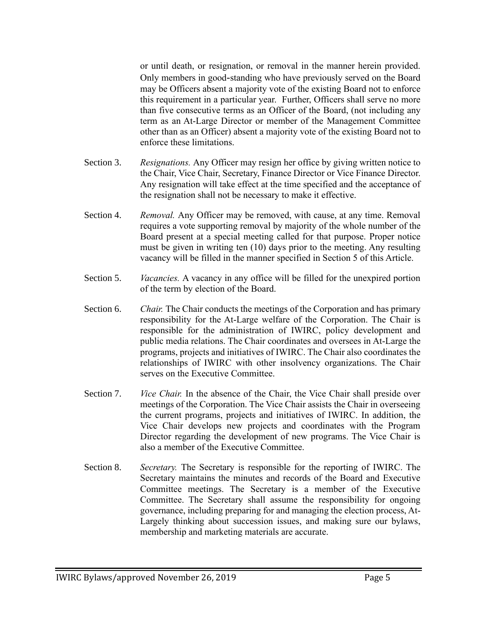or until death, or resignation, or removal in the manner herein provided. Only members in good-standing who have previously served on the Board may be Officers absent a majority vote of the existing Board not to enforce this requirement in a particular year. Further, Officers shall serve no more than five consecutive terms as an Officer of the Board, (not including any term as an At-Large Director or member of the Management Committee other than as an Officer) absent a majority vote of the existing Board not to enforce these limitations.

- Section 3. *Resignations.* Any Officer may resign her office by giving written notice to the Chair, Vice Chair, Secretary, Finance Director or Vice Finance Director. Any resignation will take effect at the time specified and the acceptance of the resignation shall not be necessary to make it effective.
- Section 4. *Removal.* Any Officer may be removed, with cause, at any time. Removal requires a vote supporting removal by majority of the whole number of the Board present at a special meeting called for that purpose. Proper notice must be given in writing ten (10) days prior to the meeting. Any resulting vacancy will be filled in the manner specified in Section 5 of this Article.
- Section 5. *Vacancies.* A vacancy in any office will be filled for the unexpired portion of the term by election of the Board.
- Section 6. *Chair.* The Chair conducts the meetings of the Corporation and has primary responsibility for the At-Large welfare of the Corporation. The Chair is responsible for the administration of IWIRC, policy development and public media relations. The Chair coordinates and oversees in At-Large the programs, projects and initiatives of IWIRC. The Chair also coordinates the relationships of IWIRC with other insolvency organizations. The Chair serves on the Executive Committee.
- Section 7. *Vice Chair.* In the absence of the Chair, the Vice Chair shall preside over meetings of the Corporation. The Vice Chair assists the Chair in overseeing the current programs, projects and initiatives of IWIRC. In addition, the Vice Chair develops new projects and coordinates with the Program Director regarding the development of new programs. The Vice Chair is also a member of the Executive Committee.
- Section 8. *Secretary.* The Secretary is responsible for the reporting of IWIRC. The Secretary maintains the minutes and records of the Board and Executive Committee meetings. The Secretary is a member of the Executive Committee. The Secretary shall assume the responsibility for ongoing governance, including preparing for and managing the election process, At-Largely thinking about succession issues, and making sure our bylaws, membership and marketing materials are accurate.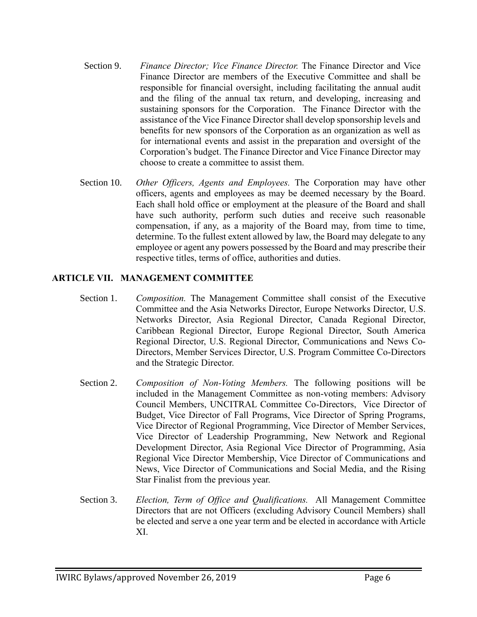- Section 9. *Finance Director; Vice Finance Director.* The Finance Director and Vice Finance Director are members of the Executive Committee and shall be responsible for financial oversight, including facilitating the annual audit and the filing of the annual tax return, and developing, increasing and sustaining sponsors for the Corporation. The Finance Director with the assistance of the Vice Finance Director shall develop sponsorship levels and benefits for new sponsors of the Corporation as an organization as well as for international events and assist in the preparation and oversight of the Corporation's budget. The Finance Director and Vice Finance Director may choose to create a committee to assist them.
- Section 10. *Other Officers, Agents and Employees.* The Corporation may have other officers, agents and employees as may be deemed necessary by the Board. Each shall hold office or employment at the pleasure of the Board and shall have such authority, perform such duties and receive such reasonable compensation, if any, as a majority of the Board may, from time to time, determine. To the fullest extent allowed by law, the Board may delegate to any employee or agent any powers possessed by the Board and may prescribe their respective titles, terms of office, authorities and duties.

# **ARTICLE VII. MANAGEMENT COMMITTEE**

- Section 1. *Composition.* The Management Committee shall consist of the Executive Committee and the Asia Networks Director, Europe Networks Director, U.S. Networks Director, Asia Regional Director, Canada Regional Director, Caribbean Regional Director, Europe Regional Director, South America Regional Director, U.S. Regional Director, Communications and News Co-Directors, Member Services Director, U.S. Program Committee Co-Directors and the Strategic Director.
- Section 2. *Composition of Non-Voting Members*. The following positions will be included in the Management Committee as non-voting members: Advisory Council Members, UNCITRAL Committee Co-Directors, Vice Director of Budget, Vice Director of Fall Programs, Vice Director of Spring Programs, Vice Director of Regional Programming, Vice Director of Member Services, Vice Director of Leadership Programming, New Network and Regional Development Director, Asia Regional Vice Director of Programming, Asia Regional Vice Director Membership, Vice Director of Communications and News, Vice Director of Communications and Social Media, and the Rising Star Finalist from the previous year.
- Section 3. *Election, Term of Office and Qualifications.* All Management Committee Directors that are not Officers (excluding Advisory Council Members) shall be elected and serve a one year term and be elected in accordance with Article XI.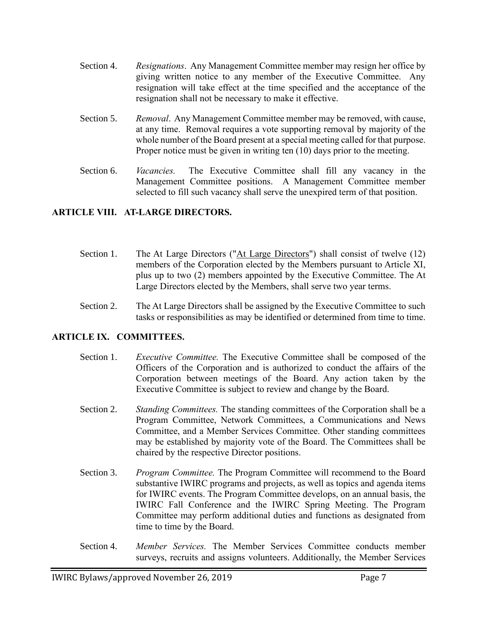- Section 4. *Resignations*. Any Management Committee member may resign her office by giving written notice to any member of the Executive Committee. Any resignation will take effect at the time specified and the acceptance of the resignation shall not be necessary to make it effective.
- Section 5. *Removal*. Any Management Committee member may be removed, with cause, at any time. Removal requires a vote supporting removal by majority of the whole number of the Board present at a special meeting called for that purpose. Proper notice must be given in writing ten (10) days prior to the meeting.
- Section 6. *Vacancies.* The Executive Committee shall fill any vacancy in the Management Committee positions. A Management Committee member selected to fill such vacancy shall serve the unexpired term of that position.

### **ARTICLE VIII. AT-LARGE DIRECTORS.**

- Section 1. The At Large Directors ("At Large Directors") shall consist of twelve (12) members of the Corporation elected by the Members pursuant to Article XI, plus up to two (2) members appointed by the Executive Committee. The At Large Directors elected by the Members, shall serve two year terms.
- Section 2. The At Large Directors shall be assigned by the Executive Committee to such tasks or responsibilities as may be identified or determined from time to time.

#### **ARTICLE IX. COMMITTEES.**

- Section 1. *Executive Committee.* The Executive Committee shall be composed of the Officers of the Corporation and is authorized to conduct the affairs of the Corporation between meetings of the Board. Any action taken by the Executive Committee is subject to review and change by the Board.
- Section 2. *Standing Committees.* The standing committees of the Corporation shall be a Program Committee, Network Committees, a Communications and News Committee, and a Member Services Committee. Other standing committees may be established by majority vote of the Board. The Committees shall be chaired by the respective Director positions.
- Section 3. *Program Committee.* The Program Committee will recommend to the Board substantive IWIRC programs and projects, as well as topics and agenda items for IWIRC events. The Program Committee develops, on an annual basis, the IWIRC Fall Conference and the IWIRC Spring Meeting. The Program Committee may perform additional duties and functions as designated from time to time by the Board.
- Section 4. *Member Services.* The Member Services Committee conducts member surveys, recruits and assigns volunteers. Additionally, the Member Services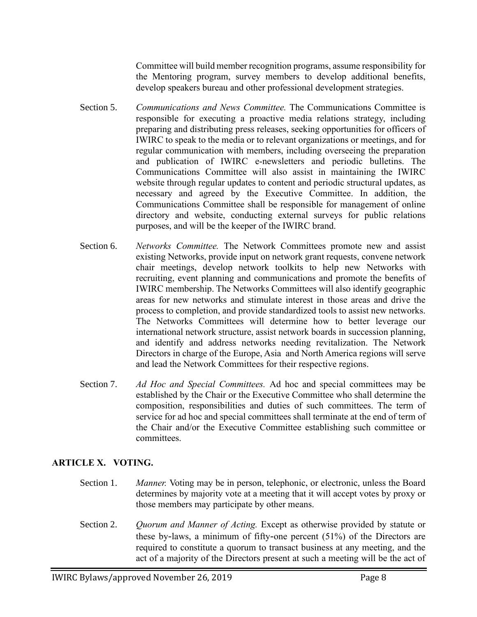Committee will build member recognition programs, assume responsibility for the Mentoring program, survey members to develop additional benefits, develop speakers bureau and other professional development strategies.

- Section 5. *Communications and News Committee.* The Communications Committee is responsible for executing a proactive media relations strategy, including preparing and distributing press releases, seeking opportunities for officers of IWIRC to speak to the media or to relevant organizations or meetings, and for regular communication with members, including overseeing the preparation and publication of IWIRC e-newsletters and periodic bulletins. The Communications Committee will also assist in maintaining the IWIRC website through regular updates to content and periodic structural updates, as necessary and agreed by the Executive Committee. In addition, the Communications Committee shall be responsible for management of online directory and website, conducting external surveys for public relations purposes, and will be the keeper of the IWIRC brand.
- Section 6. *Networks Committee.* The Network Committees promote new and assist existing Networks, provide input on network grant requests, convene network chair meetings, develop network toolkits to help new Networks with recruiting, event planning and communications and promote the benefits of IWIRC membership. The Networks Committees will also identify geographic areas for new networks and stimulate interest in those areas and drive the process to completion, and provide standardized tools to assist new networks. The Networks Committees will determine how to better leverage our international network structure, assist network boards in succession planning, and identify and address networks needing revitalization. The Network Directors in charge of the Europe, Asia and North America regions will serve and lead the Network Committees for their respective regions.
- Section 7. *Ad Hoc and Special Committees.* Ad hoc and special committees may be established by the Chair or the Executive Committee who shall determine the composition, responsibilities and duties of such committees. The term of service for ad hoc and special committees shall terminate at the end of term of the Chair and/or the Executive Committee establishing such committee or committees.

# **ARTICLE X. VOTING.**

- Section 1. *Manner.* Voting may be in person, telephonic, or electronic, unless the Board determines by majority vote at a meeting that it will accept votes by proxy or those members may participate by other means.
- Section 2. *Quorum and Manner of Acting.* Except as otherwise provided by statute or these by-laws, a minimum of fifty-one percent (51%) of the Directors are required to constitute a quorum to transact business at any meeting, and the act of a majority of the Directors present at such a meeting will be the act of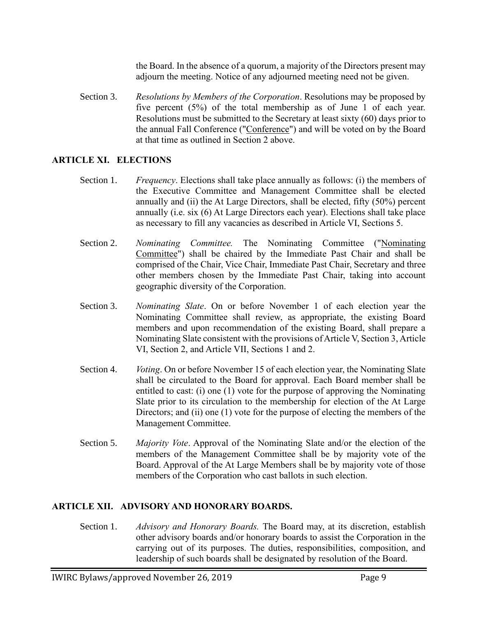the Board. In the absence of a quorum, a majority of the Directors present may adjourn the meeting. Notice of any adjourned meeting need not be given.

Section 3. *Resolutions by Members of the Corporation*. Resolutions may be proposed by five percent (5%) of the total membership as of June 1 of each year. Resolutions must be submitted to the Secretary at least sixty (60) days prior to the annual Fall Conference ("Conference") and will be voted on by the Board at that time as outlined in Section 2 above.

### **ARTICLE XI. ELECTIONS**

- Section 1. *Frequency*. Elections shall take place annually as follows: (i) the members of the Executive Committee and Management Committee shall be elected annually and (ii) the At Large Directors, shall be elected, fifty (50%) percent annually (i.e. six (6) At Large Directors each year). Elections shall take place as necessary to fill any vacancies as described in Article VI, Sections 5.
- Section 2. *Nominating Committee.* The Nominating Committee ("Nominating Committee") shall be chaired by the Immediate Past Chair and shall be comprised of the Chair, Vice Chair, Immediate Past Chair, Secretary and three other members chosen by the Immediate Past Chair, taking into account geographic diversity of the Corporation.
- Section 3. *Nominating Slate*. On or before November 1 of each election year the Nominating Committee shall review, as appropriate, the existing Board members and upon recommendation of the existing Board, shall prepare a Nominating Slate consistent with the provisions of Article V, Section 3, Article VI, Section 2, and Article VII, Sections 1 and 2.
- Section 4. *Voting*. On or before November 15 of each election year, the Nominating Slate shall be circulated to the Board for approval. Each Board member shall be entitled to cast: (i) one (1) vote for the purpose of approving the Nominating Slate prior to its circulation to the membership for election of the At Large Directors; and (ii) one (1) vote for the purpose of electing the members of the Management Committee.
- Section 5. *Majority Vote*. Approval of the Nominating Slate and/or the election of the members of the Management Committee shall be by majority vote of the Board. Approval of the At Large Members shall be by majority vote of those members of the Corporation who cast ballots in such election.

# **ARTICLE XII. ADVISORY AND HONORARY BOARDS.**

Section 1. *Advisory and Honorary Boards.* The Board may, at its discretion, establish other advisory boards and/or honorary boards to assist the Corporation in the carrying out of its purposes. The duties, responsibilities, composition, and leadership of such boards shall be designated by resolution of the Board.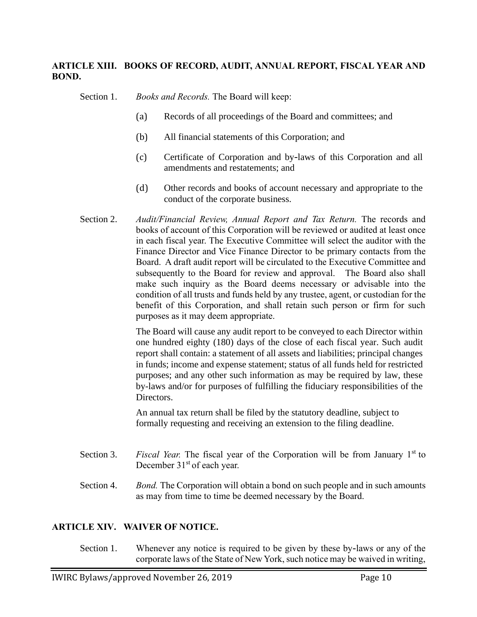### **ARTICLE XIII. BOOKS OF RECORD, AUDIT, ANNUAL REPORT, FISCAL YEAR AND BOND.**

Section 1. *Books and Records.* The Board will keep:

- (a) Records of all proceedings of the Board and committees; and
- (b) All financial statements of this Corporation; and
- (c) Certificate of Corporation and by-laws of this Corporation and all amendments and restatements; and
- (d) Other records and books of account necessary and appropriate to the conduct of the corporate business.
- Section 2. *Audit/Financial Review, Annual Report and Tax Return.* The records and books of account of this Corporation will be reviewed or audited at least once in each fiscal year. The Executive Committee will select the auditor with the Finance Director and Vice Finance Director to be primary contacts from the Board. A draft audit report will be circulated to the Executive Committee and subsequently to the Board for review and approval. The Board also shall make such inquiry as the Board deems necessary or advisable into the condition of all trusts and funds held by any trustee, agent, or custodian for the benefit of this Corporation, and shall retain such person or firm for such purposes as it may deem appropriate.

The Board will cause any audit report to be conveyed to each Director within one hundred eighty (180) days of the close of each fiscal year. Such audit report shall contain: a statement of all assets and liabilities; principal changes in funds; income and expense statement; status of all funds held for restricted purposes; and any other such information as may be required by law, these by-laws and/or for purposes of fulfilling the fiduciary responsibilities of the Directors.

An annual tax return shall be filed by the statutory deadline, subject to formally requesting and receiving an extension to the filing deadline.

- Section 3. *Fiscal Year*. The fiscal year of the Corporation will be from January 1<sup>st</sup> to December 31<sup>st</sup> of each year.
- Section 4. *Bond.* The Corporation will obtain a bond on such people and in such amounts as may from time to time be deemed necessary by the Board.

#### **ARTICLE XIV. WAIVER OF NOTICE.**

Section 1. Whenever any notice is required to be given by these by-laws or any of the corporate laws of the State of New York, such notice may be waived in writing,